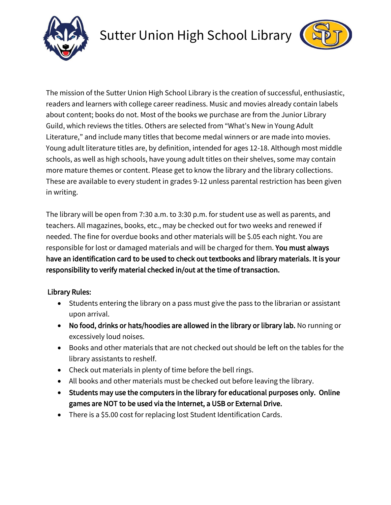



The mission of the Sutter Union High School Library is the creation of successful, enthusiastic, readers and learners with college career readiness. Music and movies already contain labels about content; books do not. Most of the books we purchase are from the Junior Library Guild, which reviews the titles. Others are selected from "What's New in Young Adult Literature," and include many titles that become medal winners or are made into movies. Young adult literature titles are, by definition, intended for ages 12-18. Although most middle schools, as well as high schools, have young adult titles on their shelves, some may contain more mature themes or content. Please get to know the library and the library collections. These are available to every student in grades 9-12 unless parental restriction has been given in writing.

The library will be open from 7:30 a.m. to 3:30 p.m. for student use as well as parents, and teachers. All magazines, books, etc., may be checked out for two weeks and renewed if needed. The fine for overdue books and other materials will be \$.05 each night. You are responsible for lost or damaged materials and will be charged for them. You must always have an identification card to be used to check out textbooks and library materials. It is your responsibility to verify material checked in/out at the time of transaction.

## Library Rules:

- Students entering the library on a pass must give the pass to the librarian or assistant upon arrival.
- No food, drinks or hats/hoodies are allowed in the library or library lab. No running or excessively loud noises.
- Books and other materials that are not checked out should be left on the tables for the library assistants to reshelf.
- Check out materials in plenty of time before the bell rings.
- All books and other materials must be checked out before leaving the library.
- Students may use the computers in the library for educational purposes only. Online games are NOT to be used via the Internet, a USB or External Drive.
- There is a \$5.00 cost for replacing lost Student Identification Cards.